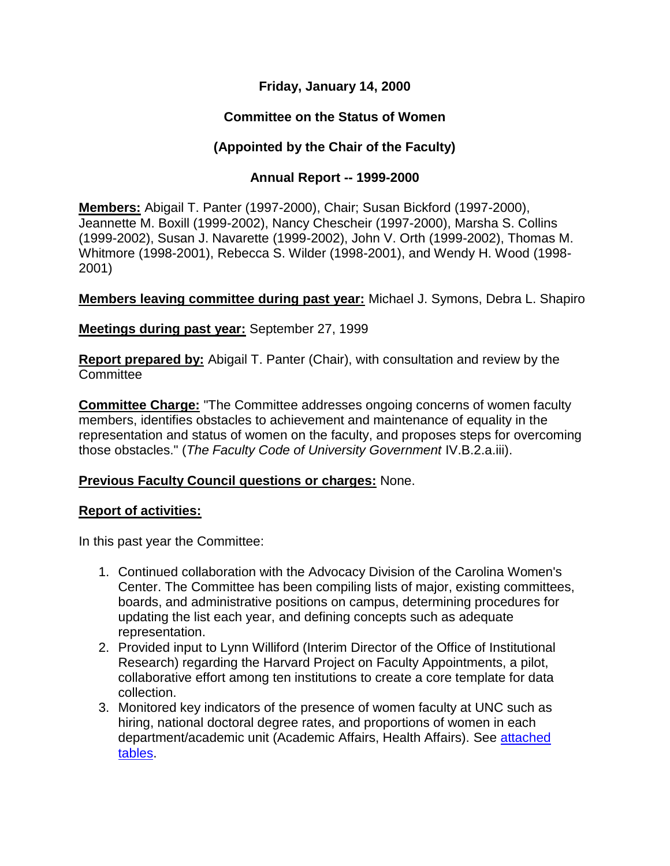### **Friday, January 14, 2000**

## **Committee on the Status of Women**

# **(Appointed by the Chair of the Faculty)**

#### **Annual Report -- 1999-2000**

**Members:** Abigail T. Panter (1997-2000), Chair; Susan Bickford (1997-2000), Jeannette M. Boxill (1999-2002), Nancy Chescheir (1997-2000), Marsha S. Collins (1999-2002), Susan J. Navarette (1999-2002), John V. Orth (1999-2002), Thomas M. Whitmore (1998-2001), Rebecca S. Wilder (1998-2001), and Wendy H. Wood (1998- 2001)

**Members leaving committee during past year:** Michael J. Symons, Debra L. Shapiro

#### **Meetings during past year:** September 27, 1999

**Report prepared by:** Abigail T. Panter (Chair), with consultation and review by the **Committee** 

**Committee Charge:** "The Committee addresses ongoing concerns of women faculty members, identifies obstacles to achievement and maintenance of equality in the representation and status of women on the faculty, and proposes steps for overcoming those obstacles." (*The Faculty Code of University Government* IV.B.2.a.iii).

#### **Previous Faculty Council questions or charges:** None.

#### **Report of activities:**

In this past year the Committee:

- 1. Continued collaboration with the Advocacy Division of the Carolina Women's Center. The Committee has been compiling lists of major, existing committees, boards, and administrative positions on campus, determining procedures for updating the list each year, and defining concepts such as adequate representation.
- 2. Provided input to Lynn Williford (Interim Director of the Office of Institutional Research) regarding the Harvard Project on Faculty Appointments, a pilot, collaborative effort among ten institutions to create a core template for data collection.
- 3. Monitored key indicators of the presence of women faculty at UNC such as hiring, national doctoral degree rates, and proportions of women in each department/academic unit (Academic Affairs, Health Affairs). See attached [tables.](http://www.unc.edu/faculty/faccoun/reports/1999-00/CSWtables2000.htm)